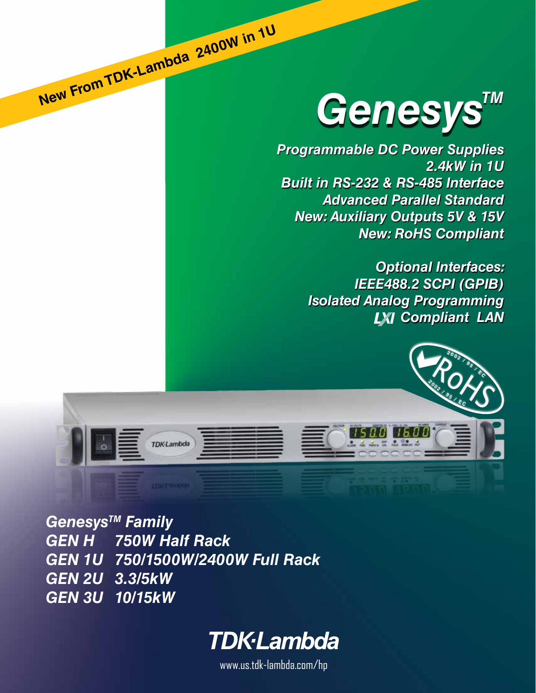# Genesys<sup>TM</sup>

*Programmable DC Power Supplies 2.4kW in 1U Built in RS-232 & RS-485 Interface Advanced Parallel Standard New: Auxiliary Outputs 5V & 15V New: RoHS Compliant*

> *Optional Interfaces: IEEE488.2 SCPI (GPIB) Isolated Analog Programming* **LXI Compliant LAN**



Genesys<sup>™</sup> Family *GEN H 750W Half Rack GEN 1U 750/1500W/2400W Full Rack GEN 2U 3.3/5kW GEN 3U 10/15kW*

 **New From TDK-Lambda 2400W in 1<sup>U</sup>**



www.us.tdk-lambda.com/hp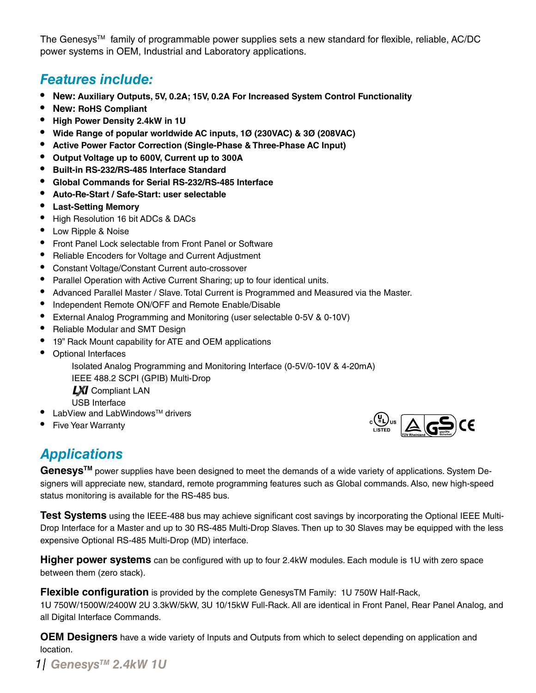The Genesys<sup>TM</sup> family of programmable power supplies sets a new standard for flexible, reliable, AC/DC power systems in OEM, Industrial and Laboratory applications.

## *Features include:*

- **• New: Auxiliary Outputs, 5V, 0.2A; 15V, 0.2A For Increased System Control Functionality**
- **• New: RoHS Compliant**
- **• High Power Density 2.4kW in 1U**
- **• Wide Range of popular worldwide AC inputs, 1Ø (230VAC) & 3Ø (208VAC)**
- **• Active Power Factor Correction (Single-Phase & Three-Phase AC Input)**
- **• Output Voltage up to 600V, Current up to 300A**
- **• Built-in RS-232/RS-485 Interface Standard**
- **• Global Commands for Serial RS-232/RS-485 Interface**
- **• Auto-Re-Start / Safe-Start: user selectable**
- **• Last-Setting Memory**
- • High Resolution 16 bit ADCs & DACs
- Low Ripple & Noise
- Front Panel Lock selectable from Front Panel or Software
- Reliable Encoders for Voltage and Current Adjustment
- Constant Voltage/Constant Current auto-crossover
- Parallel Operation with Active Current Sharing; up to four identical units.
- Advanced Parallel Master / Slave. Total Current is Programmed and Measured via the Master.
- Independent Remote ON/OFF and Remote Enable/Disable
- External Analog Programming and Monitoring (user selectable 0-5V & 0-10V)
- Reliable Modular and SMT Design
- 19" Rack Mount capability for ATE and OEM applications
- • Optional Interfaces

 Isolated Analog Programming and Monitoring Interface (0-5V/0-10V & 4-20mA) IEEE 488.2 SCPI (GPIB) Multi-Drop

**LXI** Compliant LAN USB Interface

- LabView and LabWindows™ drivers
- **Five Year Warranty**



## *Applications*

Genesys<sup>™</sup> power supplies have been designed to meet the demands of a wide variety of applications. System Designers will appreciate new, standard, remote programming features such as Global commands. Also, new high-speed status monitoring is available for the RS-485 bus.

**Test Systems** using the IEEE-488 bus may achieve significant cost savings by incorporating the Optional IEEE Multi-Drop Interface for a Master and up to 30 RS-485 Multi-Drop Slaves. Then up to 30 Slaves may be equipped with the less expensive Optional RS-485 Multi-Drop (MD) interface.

**Higher power systems** can be configured with up to four 2.4kW modules. Each module is 1U with zero space between them (zero stack).

**Flexible configuration** is provided by the complete GenesysTM Family: 1U 750W Half-Rack,

1U 750W/1500W/2400W 2U 3.3kW/5kW, 3U 10/15kW Full-Rack. All are identical in Front Panel, Rear Panel Analog, and all Digital Interface Commands.

**OEM Designers** have a wide variety of Inputs and Outputs from which to select depending on application and location.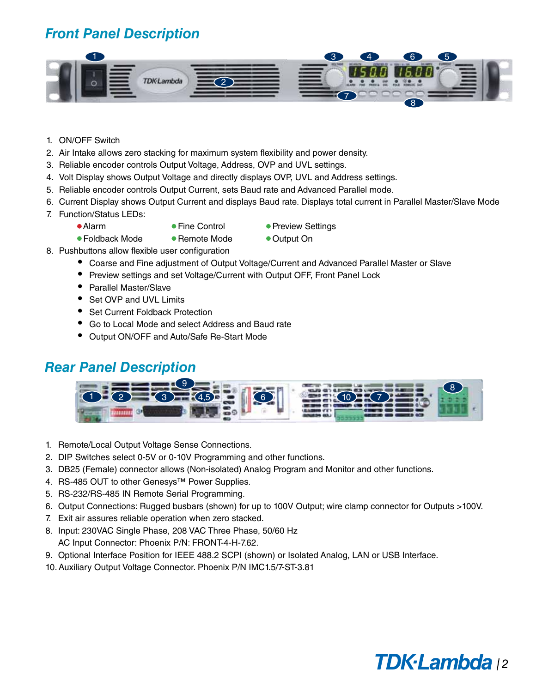## *Front Panel Description*



- 1. ON/OFF Switch
- 2. Air Intake allows zero stacking for maximum system flexibility and power density.
- 3. Reliable encoder controls Output Voltage, Address, OVP and UVL settings.
- 4. Volt Display shows Output Voltage and directly displays OVP, UVL and Address settings.
- 5. Reliable encoder controls Output Current, sets Baud rate and Advanced Parallel mode.
- 6. Current Display shows Output Current and displays Baud rate. Displays total current in Parallel Master/Slave Mode
- 7. Function/Status LEDs:
	-
	-
	- Alarm • • Fine Control • Preview Settings
	- Foldback Mode Remote Mode Output On
- 
- 8. Pushbuttons allow flexible user configuration
	- Coarse and Fine adjustment of Output Voltage/Current and Advanced Parallel Master or Slave
	- Preview settings and set Voltage/Current with Output OFF, Front Panel Lock
	- • Parallel Master/Slave
	- Set OVP and UVL Limits
	- Set Current Foldback Protection
	- Go to Local Mode and select Address and Baud rate
	- Output ON/OFF and Auto/Safe Re-Start Mode

#### *Rear Panel Description*



- 1. Remote/Local Output Voltage Sense Connections.
- 2. DIP Switches select 0-5V or 0-10V Programming and other functions.
- 3. DB25 (Female) connector allows (Non-isolated) Analog Program and Monitor and other functions.
- 4. RS-485 OUT to other Genesys™ Power Supplies.
- 5. RS-232/RS-485 IN Remote Serial Programming.
- 6. Output Connections: Rugged busbars (shown) for up to 100V Output; wire clamp connector for Outputs >100V.
- 7. Exit air assures reliable operation when zero stacked.
- 8. Input: 230VAC Single Phase, 208 VAC Three Phase, 50/60 Hz AC Input Connector: Phoenix P/N: FRONT-4-H-7.62.
- 9. Optional Interface Position for IEEE 488.2 SCPI (shown) or Isolated Analog, LAN or USB Interface.
- 10. Auxiliary Output Voltage Connector. Phoenix P/N IMC1.5/7-ST-3.81

## **TDK·Lambda** 12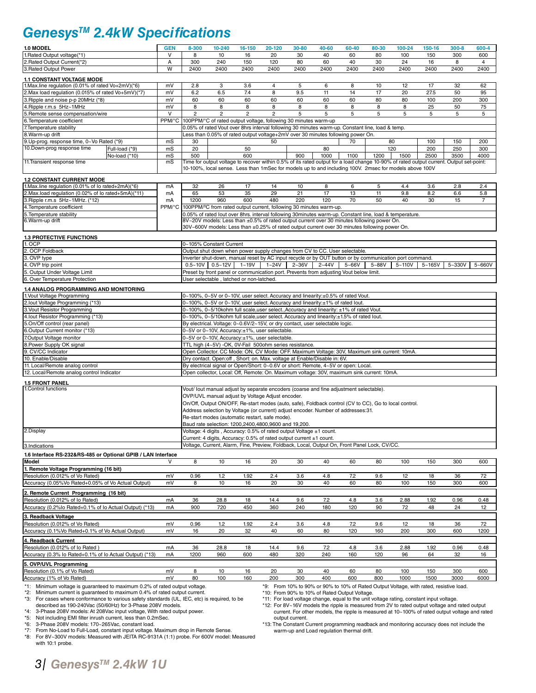## *GenesysTM 2.4kW Specifications*

| 1.0 MODEL                                                                                                                                                      | <b>GEN</b>              | 8-300                                                                                                                                                                                                                                            | 10-240                                                                                                  | 16-150         | 20-120         | 30-80                                                                        | 40-60                                                                                                                                                                    | 60-40      | 80-30      | 100-24                                                                                                                                                                                    | 150-16     | $300 - 8$  | 600-4                  |
|----------------------------------------------------------------------------------------------------------------------------------------------------------------|-------------------------|--------------------------------------------------------------------------------------------------------------------------------------------------------------------------------------------------------------------------------------------------|---------------------------------------------------------------------------------------------------------|----------------|----------------|------------------------------------------------------------------------------|--------------------------------------------------------------------------------------------------------------------------------------------------------------------------|------------|------------|-------------------------------------------------------------------------------------------------------------------------------------------------------------------------------------------|------------|------------|------------------------|
| 1. Rated Output voltage(*1)                                                                                                                                    | V                       | 8                                                                                                                                                                                                                                                | 10                                                                                                      | 16             | 20<br>120      | 30<br>80                                                                     | 40<br>60                                                                                                                                                                 | 60         | 80         | 100                                                                                                                                                                                       | 150        | 300        | 600                    |
| 2. Rated Output Current(*2)<br>3. Rated Output Power                                                                                                           | А<br>$\overline{W}$     | 300<br>2400                                                                                                                                                                                                                                      | 240<br>2400                                                                                             | 150<br>2400    | 2400           | 2400                                                                         | 2400                                                                                                                                                                     | 40<br>2400 | 30<br>2400 | 24<br>2400                                                                                                                                                                                | 16<br>2400 | 8<br>2400  | $\overline{4}$<br>2400 |
| <b>1.1 CONSTANT VOLTAGE MODE</b>                                                                                                                               |                         |                                                                                                                                                                                                                                                  |                                                                                                         |                |                |                                                                              |                                                                                                                                                                          |            |            |                                                                                                                                                                                           |            |            |                        |
| 1. Max.line regulation (0.01% of rated Vo+2mV)(*6)                                                                                                             | mV                      | 2.8                                                                                                                                                                                                                                              | 3                                                                                                       | 3.6            | 4              | 5                                                                            | 6                                                                                                                                                                        | 8          | 10         | 12                                                                                                                                                                                        | 17         | 32         | 62                     |
| 2. Max load regulation (0.015% of rated Vo+5mV)(*7)                                                                                                            | mV                      | 6.2                                                                                                                                                                                                                                              | 6.5                                                                                                     | 7.4            | 8              | 9.5                                                                          | 11                                                                                                                                                                       | 14         | 17         | 20                                                                                                                                                                                        | 27.5       | 50         | 95                     |
| 3. Ripple and noise p-p 20MHz (*8)<br>4. Ripple r.m.s 5Hz~1MHz                                                                                                 | mV<br>mV                | 60<br>8                                                                                                                                                                                                                                          | 60<br>8                                                                                                 | 60<br>8        | 60<br>8        | 60<br>8                                                                      | 60<br>8                                                                                                                                                                  | 60<br>8    | 80<br>8    | 80<br>8                                                                                                                                                                                   | 100<br>25  | 200<br>50  | 300<br>75              |
| 5. Remote sense compensation/wire                                                                                                                              | $\overline{\mathsf{v}}$ | $\overline{2}$                                                                                                                                                                                                                                   | $\overline{c}$                                                                                          | $\overline{2}$ | $\overline{2}$ | 5                                                                            | 5                                                                                                                                                                        | 5          | 5          | 5                                                                                                                                                                                         | 5          | 5          | 5                      |
| 6. Temperature coefficient                                                                                                                                     | PPM/°C                  |                                                                                                                                                                                                                                                  | 100PPM/°C of rated output voltage, following 30 minutes warm-up                                         |                |                |                                                                              |                                                                                                                                                                          |            |            |                                                                                                                                                                                           |            |            |                        |
| 7. Temperature stability                                                                                                                                       |                         |                                                                                                                                                                                                                                                  |                                                                                                         |                |                |                                                                              | 0.05% of rated Vout over 8hrs interval following 30 minutes warm-up. Constant line, load & temp.                                                                         |            |            |                                                                                                                                                                                           |            |            |                        |
| 8. Warm-up drift<br>9. Up-prog. response time, 0~Vo Rated (*9)                                                                                                 | mS                      | 30                                                                                                                                                                                                                                               |                                                                                                         |                | 50             |                                                                              | Less than 0.05% of rated output voltage+2mV over 30 minutes following power On.                                                                                          | 70         |            | 80                                                                                                                                                                                        | 100        | 150        | 200                    |
| 10.Down-prog response time<br>Full-load (*9)                                                                                                                   | mS                      | 20                                                                                                                                                                                                                                               |                                                                                                         | 50             |                |                                                                              | 80                                                                                                                                                                       |            |            | 120                                                                                                                                                                                       | 200        | 250        | 300                    |
| No-load (*10)                                                                                                                                                  | mS                      | 500                                                                                                                                                                                                                                              |                                                                                                         | 600            |                | 900                                                                          | 1000                                                                                                                                                                     | 1100       | 1200       | 1500                                                                                                                                                                                      | 2500       | 3500       | 4000                   |
| 11. Transient response time                                                                                                                                    | mS                      | Time for output voltage to recover within 0.5% of its rated output for a load change 10-90% of rated output current. Output set-point:<br>10-100%, local sense. Less than 1mSec for models up to and including 100V. 2msec for models above 100V |                                                                                                         |                |                |                                                                              |                                                                                                                                                                          |            |            |                                                                                                                                                                                           |            |            |                        |
|                                                                                                                                                                |                         |                                                                                                                                                                                                                                                  |                                                                                                         |                |                |                                                                              |                                                                                                                                                                          |            |            |                                                                                                                                                                                           |            |            |                        |
| <b>1.2 CONSTANT CURRENT MODE</b><br>1. Max.line regulation (0.01% of lo rated+2mA)(*6)                                                                         | mA                      | 32                                                                                                                                                                                                                                               | 26                                                                                                      | 17             | 14             | 10                                                                           | 8                                                                                                                                                                        | 6          | 5          | 4.4                                                                                                                                                                                       | 3.6        | 2.8        | 2.4                    |
| 2. Max.load regulation (0.02% of lo rated+5mA)(*11)                                                                                                            | mA                      | 65                                                                                                                                                                                                                                               | 53                                                                                                      | 35             | 29             | 21                                                                           | 17                                                                                                                                                                       | 13         | 11         | 9.8                                                                                                                                                                                       | 8.2        | 6.6        | 5.8                    |
| 3. Ripple r.m.s 5Hz~1MHz. (*12)                                                                                                                                | mA                      | 1200                                                                                                                                                                                                                                             | 960                                                                                                     | 600            | 480            | 220                                                                          | 120                                                                                                                                                                      | 70         | 50         | 40                                                                                                                                                                                        | 30         | 15         | 7                      |
| 4. Temperature coefficient                                                                                                                                     |                         |                                                                                                                                                                                                                                                  |                                                                                                         |                |                |                                                                              | PPM/°C 100PPM/°C from rated output current, following 30 minutes warm-up.                                                                                                |            |            |                                                                                                                                                                                           |            |            |                        |
| 5. Temperature stability<br>6. Warm-up drift                                                                                                                   |                         |                                                                                                                                                                                                                                                  |                                                                                                         |                |                |                                                                              | 8V~20V models: Less than ±0.5% of rated output current over 30 minutes following power On.                                                                               |            |            | 0.05% of rated lout over 8hrs. interval following 30minutes warm-up. Constant line, load & temperature.                                                                                   |            |            |                        |
|                                                                                                                                                                |                         |                                                                                                                                                                                                                                                  |                                                                                                         |                |                |                                                                              | 30V~600V models: Less than ±0.25% of rated output current over 30 minutes following power On.                                                                            |            |            |                                                                                                                                                                                           |            |            |                        |
| <b>1.3 PROTECTIVE FUNCTIONS</b>                                                                                                                                |                         |                                                                                                                                                                                                                                                  |                                                                                                         |                |                |                                                                              |                                                                                                                                                                          |            |            |                                                                                                                                                                                           |            |            |                        |
| 1. OCP                                                                                                                                                         |                         |                                                                                                                                                                                                                                                  | 0~105% Constant Current                                                                                 |                |                |                                                                              |                                                                                                                                                                          |            |            |                                                                                                                                                                                           |            |            |                        |
| 2. OCP Foldback                                                                                                                                                |                         |                                                                                                                                                                                                                                                  |                                                                                                         |                |                |                                                                              | Output shut down when power supply changes from CV to CC. User selectable.                                                                                               |            |            |                                                                                                                                                                                           |            |            |                        |
| 3. OVP type<br>4. OVP trip point                                                                                                                               |                         |                                                                                                                                                                                                                                                  | $0.5 - 10V$ 0.5 ~ 12V                                                                                   | $1 - 19V$      | $1 - 24V$      | $2 - 36V$                                                                    | $2 - 44V$                                                                                                                                                                | $5 - 66V$  | $5 - 88V$  | Inverter shut-down, manual reset by AC input recycle or by OUT button or by communication port command.<br>$5 - 110V$                                                                     | $5 - 165V$ | $5 - 330V$ | $5 - 660V$             |
| 5. Output Under Voltage Limit                                                                                                                                  |                         |                                                                                                                                                                                                                                                  |                                                                                                         |                |                |                                                                              | Preset by front panel or communication port. Prevents from adjusting Vout below limit.                                                                                   |            |            |                                                                                                                                                                                           |            |            |                        |
| 6. Over Temperature Protection                                                                                                                                 |                         |                                                                                                                                                                                                                                                  | User selectable, latched or non-latched.                                                                |                |                |                                                                              |                                                                                                                                                                          |            |            |                                                                                                                                                                                           |            |            |                        |
| 1.4 ANALOG PROGRAMMING AND MONITORING                                                                                                                          |                         |                                                                                                                                                                                                                                                  |                                                                                                         |                |                |                                                                              |                                                                                                                                                                          |            |            |                                                                                                                                                                                           |            |            |                        |
| 1. Vout Voltage Programming                                                                                                                                    |                         |                                                                                                                                                                                                                                                  |                                                                                                         |                |                |                                                                              | 0~100%, 0~5V or 0~10V, user select. Accuracy and linearity:±0.5% of rated Vout.                                                                                          |            |            |                                                                                                                                                                                           |            |            |                        |
| 2.lout Voltage Programming (*13)<br>3. Vout Resistor Programming                                                                                               |                         |                                                                                                                                                                                                                                                  |                                                                                                         |                |                |                                                                              | 0~100%, 0~5V or 0~10V, user select. Accuracy and linearity:±1% of rated lout.<br>0~100%, 0~5/10kohm full scale, user select., Accuracy and linearity: ±1% of rated Vout. |            |            |                                                                                                                                                                                           |            |            |                        |
| 4. Iout Resistor Programming (*13)                                                                                                                             |                         |                                                                                                                                                                                                                                                  |                                                                                                         |                |                |                                                                              | 0~100%, 0~5/10kohm full scale, user select. Accuracy and linearity: ±1.5% of rated lout.                                                                                 |            |            |                                                                                                                                                                                           |            |            |                        |
| 5.On/Off control (rear panel)                                                                                                                                  |                         |                                                                                                                                                                                                                                                  |                                                                                                         |                |                | By electrical. Voltage: 0~0.6V/2~15V, or dry contact, user selectable logic. |                                                                                                                                                                          |            |            |                                                                                                                                                                                           |            |            |                        |
| 6.Output Current monitor (*13)                                                                                                                                 |                         |                                                                                                                                                                                                                                                  | 0~5V or 0~10V, Accuracy:±1%, user selectable.                                                           |                |                |                                                                              |                                                                                                                                                                          |            |            |                                                                                                                                                                                           |            |            |                        |
| 7.Output Voltage monitor<br>8. Power Supply OK signal                                                                                                          |                         |                                                                                                                                                                                                                                                  | 0~5V or 0~10V, Accuracy:±1%, user selectable.<br>TTL high (4~5V) -OK, 0V-Fail 500ohm series resistance. |                |                |                                                                              |                                                                                                                                                                          |            |            |                                                                                                                                                                                           |            |            |                        |
| 9. CV/CC Indicator                                                                                                                                             |                         |                                                                                                                                                                                                                                                  |                                                                                                         |                |                |                                                                              | Open Collector. CC Mode: ON, CV Mode: OFF. Maximum Voltage: 30V, Maximum sink current: 10mA.                                                                             |            |            |                                                                                                                                                                                           |            |            |                        |
| 10. Enable/Disable                                                                                                                                             |                         |                                                                                                                                                                                                                                                  |                                                                                                         |                |                |                                                                              | Dry contact. Open:off, Short: on. Max. voltage at Enable/Disable in: 6V.                                                                                                 |            |            |                                                                                                                                                                                           |            |            |                        |
| 11. Local/Remote analog control                                                                                                                                |                         |                                                                                                                                                                                                                                                  |                                                                                                         |                |                |                                                                              | By electrical signal or Open/Short: 0~0.6V or short: Remote, 4~5V or open: Local.                                                                                        |            |            |                                                                                                                                                                                           |            |            |                        |
| 12. Local/Remote analog control Indicator                                                                                                                      |                         |                                                                                                                                                                                                                                                  |                                                                                                         |                |                |                                                                              | Open collector, Local: Off, Remote: On. Maximum voltage: 30V, maximum sink current: 10mA.                                                                                |            |            |                                                                                                                                                                                           |            |            |                        |
| <b>1.5 FRONT PANEL</b><br>1. Control functions                                                                                                                 |                         |                                                                                                                                                                                                                                                  |                                                                                                         |                |                |                                                                              |                                                                                                                                                                          |            |            |                                                                                                                                                                                           |            |            |                        |
|                                                                                                                                                                |                         |                                                                                                                                                                                                                                                  |                                                                                                         |                |                |                                                                              | Vout/ lout manual adjust by separate encoders (coarse and fine adjustment selectable).                                                                                   |            |            |                                                                                                                                                                                           |            |            |                        |
|                                                                                                                                                                |                         | OVP/UVL manual adjust by Voltage Adjust encoder.<br>On/Off, Output ON/OFF, Re-start modes (auto, safe), Foldback control (CV to CC), Go to local control.                                                                                        |                                                                                                         |                |                |                                                                              |                                                                                                                                                                          |            |            |                                                                                                                                                                                           |            |            |                        |
|                                                                                                                                                                |                         | Address selection by Voltage (or current) adjust encoder. Number of addresses:31.<br>Re-start modes (automatic restart, safe mode).                                                                                                              |                                                                                                         |                |                |                                                                              |                                                                                                                                                                          |            |            |                                                                                                                                                                                           |            |            |                        |
|                                                                                                                                                                |                         |                                                                                                                                                                                                                                                  | Baud rate selection: 1200,2400,4800,9600 and 19,200.                                                    |                |                |                                                                              |                                                                                                                                                                          |            |            |                                                                                                                                                                                           |            |            |                        |
| 2.Display                                                                                                                                                      |                         |                                                                                                                                                                                                                                                  | Voltage: 4 digits, Accuracy: 0.5% of rated output Voltage ±1 count.                                     |                |                |                                                                              |                                                                                                                                                                          |            |            |                                                                                                                                                                                           |            |            |                        |
|                                                                                                                                                                |                         |                                                                                                                                                                                                                                                  | Current: 4 digits, Accuracy: 0.5% of rated output current ±1 count.                                     |                |                |                                                                              |                                                                                                                                                                          |            |            |                                                                                                                                                                                           |            |            |                        |
| 3.Indications                                                                                                                                                  |                         |                                                                                                                                                                                                                                                  |                                                                                                         |                |                |                                                                              | Voltage, Current, Alarm, Fine, Preview, Foldback, Local, Output On, Front Panel Lock, CV/CC.                                                                             |            |            |                                                                                                                                                                                           |            |            |                        |
| 1.6 Interface RS-232&RS-485 or Optional GPIB / LAN Interface                                                                                                   |                         |                                                                                                                                                                                                                                                  |                                                                                                         |                |                |                                                                              |                                                                                                                                                                          |            |            |                                                                                                                                                                                           |            |            |                        |
| Model<br>1. Remote Voltage Programming (16 bit)                                                                                                                |                         | 8                                                                                                                                                                                                                                                | 10                                                                                                      | 16             | 20             | 30                                                                           | 40                                                                                                                                                                       | 60         | 80         | 100                                                                                                                                                                                       | 150        | 300        | 600                    |
| Resolution (0.012% of Vo Rated)                                                                                                                                | mV                      | 0.96                                                                                                                                                                                                                                             | 1.2                                                                                                     | 1.92           | 2.4            | 3.6                                                                          | 4.8                                                                                                                                                                      | 7.2        | 9.6        | 12                                                                                                                                                                                        | 18         | 36         | 72                     |
| Accuracy (0.05%Vo Rated+0.05% of Vo Actual Output)                                                                                                             | mV                      | 8                                                                                                                                                                                                                                                | 10                                                                                                      | 16             | 20             | 30                                                                           | 40                                                                                                                                                                       | 60         | 80         | 100                                                                                                                                                                                       | 150        | 300        | 600                    |
| 2. Remote Current Programming (16 bit)                                                                                                                         |                         |                                                                                                                                                                                                                                                  |                                                                                                         |                |                |                                                                              |                                                                                                                                                                          |            |            |                                                                                                                                                                                           |            |            |                        |
| Resolution (0.012% of lo Rated)                                                                                                                                | mA                      | 36                                                                                                                                                                                                                                               | 28.8                                                                                                    | 18             | 14.4           | 9.6                                                                          | 7.2                                                                                                                                                                      | 4.8        | 3.6        | 2.88                                                                                                                                                                                      | 1.92       | 0.96       | 0.48                   |
| Accuracy (0.2%lo Rated+0.1% of lo Actual Output) (*13)                                                                                                         | mA                      | 900                                                                                                                                                                                                                                              | 720                                                                                                     | 450            | 360            | 240                                                                          | 180                                                                                                                                                                      | 120        | 90         | 72                                                                                                                                                                                        | 48         | 24         | 12                     |
| 3. Readback Voltage<br>Resolution (0.012% of Vo Rated)                                                                                                         | mV                      | 0.96                                                                                                                                                                                                                                             | 1.2                                                                                                     | 1.92           | 2.4            | 3.6                                                                          | 4.8                                                                                                                                                                      | 7.2        | 9.6        | 12                                                                                                                                                                                        | 18         | 36         | 72                     |
| Accuracy (0.1%Vo Rated+0.1% of Vo Actual Output)                                                                                                               | mV                      | 16                                                                                                                                                                                                                                               | 20                                                                                                      | 32             | 40             | 60                                                                           | 80                                                                                                                                                                       | 120        | 160        | 200                                                                                                                                                                                       | 300        | 600        | 1200                   |
| 4. Readback Current                                                                                                                                            |                         |                                                                                                                                                                                                                                                  |                                                                                                         |                |                |                                                                              |                                                                                                                                                                          |            |            |                                                                                                                                                                                           |            |            |                        |
| Resolution (0.012% of lo Rated)                                                                                                                                | mA                      | 36                                                                                                                                                                                                                                               | 28.8                                                                                                    | 18             | 14.4           | 9.6                                                                          | 7.2                                                                                                                                                                      | 4.8        | 3.6        | 2.88                                                                                                                                                                                      | 1.92       | 0.96       | 0.48                   |
| Accuracy (0.3% lo Rated+0.1% of lo Actual Output) (*13)                                                                                                        | mA                      | 1200                                                                                                                                                                                                                                             | 960                                                                                                     | 600            | 480            | 320                                                                          | 240                                                                                                                                                                      | 160        | 120        | 96                                                                                                                                                                                        | 64         | 32         | 16                     |
| 5. OVP/UVL Programming                                                                                                                                         |                         |                                                                                                                                                                                                                                                  |                                                                                                         |                |                |                                                                              |                                                                                                                                                                          |            |            |                                                                                                                                                                                           |            |            |                        |
| Resolution (0.1% of Vo Rated)                                                                                                                                  | mV                      | 8                                                                                                                                                                                                                                                | 10                                                                                                      | 16             | 20             | 30                                                                           | 40                                                                                                                                                                       | 60         | 80         | 100                                                                                                                                                                                       | 150        | 300        | 600                    |
| Accuracy (1% of Vo Rated)                                                                                                                                      | mV                      | 80                                                                                                                                                                                                                                               | 100                                                                                                     | 160            | 200            | 300                                                                          | 400                                                                                                                                                                      | 600        | 800        | 1000                                                                                                                                                                                      | 1500       | 3000       | 6000                   |
| *1: Minimum voltage is guaranteed to maximum 0.2% of rated output voltage.<br>Minimum current is guaranteed to maximum 0.4% of rated output current.<br>*2:    |                         |                                                                                                                                                                                                                                                  |                                                                                                         |                |                |                                                                              | *10: From 90% to 10% of Rated Output Voltage.                                                                                                                            |            |            | *9: From 10% to 90% or 90% to 10% of Rated Output Voltage, with rated, resistive load.                                                                                                    |            |            |                        |
| For cases where conformance to various safety standards (UL, IEC, etc) is required, to be<br>*3:<br>described as 190-240Vac (50/60Hz) for 3-Phase 208V models. |                         |                                                                                                                                                                                                                                                  |                                                                                                         |                |                |                                                                              |                                                                                                                                                                          |            |            | *11: For load voltage change, equal to the unit voltage rating, constant input voltage.<br>*12: For 8V~16V models the ripple is measured from 2V to rated output voltage and rated output |            |            |                        |

\*4: 3-Phase 208V models: At 208Vac input voltage, With rated output power. \*5: Not including EMI filter inrush current, less than 0.2mSec.

\*6: 3-Phase 208V models: 170~265Vac, constant load. \*7: From No-Load to Full-Load, constant input voltage. Maximum drop in Remote Sense. \*8: For 8V~300V models: Measured with JEITA RC-9131A (1:1) probe. For 600V model: Measured with 10:1 probe.

output current. \*13: The Constant Current programming readback and monitoring accuracy does not include the warm-up and Load regulation thermal drift.

current. For other models, the ripple is measured at 10~100% of rated output voltage and rated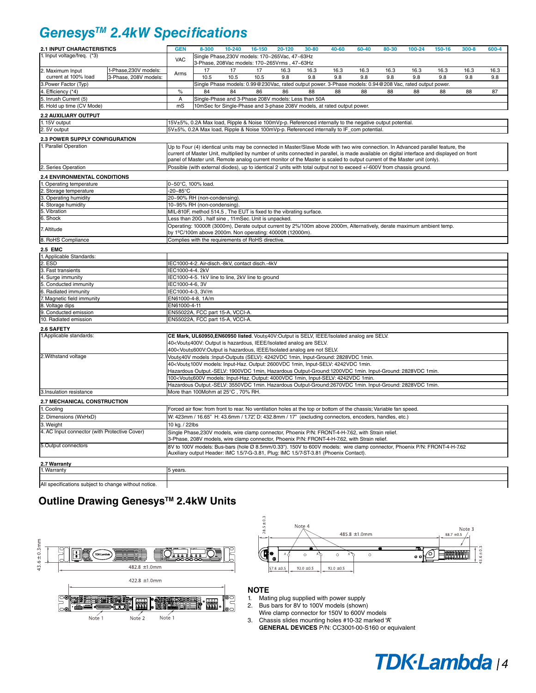## *GenesysTM 2.4kW Specifications*

| <b>2.1 INPUT CHARACTERISTICS</b>              |                                                           | <b>GEN</b>                                                                                                                                                                                                                                                             | 8-300                                                                                                                                                                                                                            | $10 - 240$ | 16-150                                                                  | 20-120 | 30-80 | 40-60 | 60-40 | 80-30 | 100-24                                                                                                  | $150 - 16$ | $300 - 8$ | 600-4 |
|-----------------------------------------------|-----------------------------------------------------------|------------------------------------------------------------------------------------------------------------------------------------------------------------------------------------------------------------------------------------------------------------------------|----------------------------------------------------------------------------------------------------------------------------------------------------------------------------------------------------------------------------------|------------|-------------------------------------------------------------------------|--------|-------|-------|-------|-------|---------------------------------------------------------------------------------------------------------|------------|-----------|-------|
| 1. Input voltage/freq. (*3)                   |                                                           | <b>VAC</b>                                                                                                                                                                                                                                                             |                                                                                                                                                                                                                                  |            | Single Phase, 230V models: 170~265Vac, 47~63Hz                          |        |       |       |       |       |                                                                                                         |            |           |       |
|                                               |                                                           |                                                                                                                                                                                                                                                                        |                                                                                                                                                                                                                                  |            | 3-Phase, 208Vac models: 170~265Vrms, 47~63Hz                            |        |       |       |       |       |                                                                                                         |            |           |       |
| 2. Maximum Input                              | 1-Phase, 230V models:                                     | Arms                                                                                                                                                                                                                                                                   | 17                                                                                                                                                                                                                               | 17         | 17                                                                      | 16.3   | 16.3  | 16.3  | 16.3  | 16.3  | 16.3                                                                                                    | 16.3       | 16.3      | 16.3  |
| current at 100% load                          | 3-Phase, 208V models:                                     |                                                                                                                                                                                                                                                                        | 10.5                                                                                                                                                                                                                             | 10.5       | 10.5                                                                    | 9.8    | 9.8   | 9.8   | 9.8   | 9.8   | 9.8                                                                                                     | 9.8        | 9.8       | 9.8   |
| 3. Power Factor (Typ)                         |                                                           |                                                                                                                                                                                                                                                                        |                                                                                                                                                                                                                                  |            |                                                                         |        |       |       |       |       | Single Phase models: 0.99@230Vac, rated output power. 3-Phase models: 0.94@208 Vac, rated output power. |            |           |       |
| 4. Efficiency (*4)                            |                                                           | $\%$                                                                                                                                                                                                                                                                   | 84                                                                                                                                                                                                                               | 84         | 86                                                                      | 86     | 88    | 88    | 88    | 88    | 88                                                                                                      | 88         | 88        | 87    |
| 5. Inrush Current (5)                         |                                                           | A                                                                                                                                                                                                                                                                      |                                                                                                                                                                                                                                  |            | Single-Phase and 3-Phase 208V models: Less than 50A                     |        |       |       |       |       |                                                                                                         |            |           |       |
| 6. Hold up time (CV Mode)                     |                                                           | mS                                                                                                                                                                                                                                                                     |                                                                                                                                                                                                                                  |            | 10mSec for Single-Phase and 3-phase 208V models, at rated output power. |        |       |       |       |       |                                                                                                         |            |           |       |
| <b>2.2 AUXILIARY OUTPUT</b>                   |                                                           |                                                                                                                                                                                                                                                                        |                                                                                                                                                                                                                                  |            |                                                                         |        |       |       |       |       |                                                                                                         |            |           |       |
| 1.15V output                                  |                                                           |                                                                                                                                                                                                                                                                        | 15V±5%, 0.2A Max load, Ripple & Noise 100mVp-p. Referenced internally to the negative output potential.                                                                                                                          |            |                                                                         |        |       |       |       |       |                                                                                                         |            |           |       |
| 2.5V output                                   |                                                           |                                                                                                                                                                                                                                                                        | 5V±5%, 0.2A Max load, Ripple & Noise 100mVp-p. Referenced internally to IF com potential.                                                                                                                                        |            |                                                                         |        |       |       |       |       |                                                                                                         |            |           |       |
| 2.3 POWER SUPPLY CONFIGURATION                |                                                           |                                                                                                                                                                                                                                                                        |                                                                                                                                                                                                                                  |            |                                                                         |        |       |       |       |       |                                                                                                         |            |           |       |
| 1. Parallel Operation                         |                                                           |                                                                                                                                                                                                                                                                        | Up to Four (4) identical units may be connected in Master/Slave Mode with two wire connection. In Advanced parallel feature, the                                                                                                 |            |                                                                         |        |       |       |       |       |                                                                                                         |            |           |       |
|                                               |                                                           |                                                                                                                                                                                                                                                                        |                                                                                                                                                                                                                                  |            |                                                                         |        |       |       |       |       |                                                                                                         |            |           |       |
|                                               |                                                           | current of Master Unit, multiplied by number of units connected in parallel, is made available on digital interface and displayed on front<br>panel of Master unit. Remote analog current monitor of the Master is scaled to output current of the Master unit (only). |                                                                                                                                                                                                                                  |            |                                                                         |        |       |       |       |       |                                                                                                         |            |           |       |
| 2. Series Operation                           |                                                           |                                                                                                                                                                                                                                                                        | Possible (with external diodes), up to identical 2 units with total output not to exceed +/-600V from chassis ground                                                                                                             |            |                                                                         |        |       |       |       |       |                                                                                                         |            |           |       |
| <b>2.4 ENVIRONMENTAL CONDITIONS</b>           |                                                           |                                                                                                                                                                                                                                                                        |                                                                                                                                                                                                                                  |            |                                                                         |        |       |       |       |       |                                                                                                         |            |           |       |
| 1. Operating temperature                      |                                                           |                                                                                                                                                                                                                                                                        |                                                                                                                                                                                                                                  |            |                                                                         |        |       |       |       |       |                                                                                                         |            |           |       |
| 2. Storage temperature                        |                                                           | $-20-85$ °C                                                                                                                                                                                                                                                            | 0~50°C, 100% load.                                                                                                                                                                                                               |            |                                                                         |        |       |       |       |       |                                                                                                         |            |           |       |
| 3. Operating humidity                         |                                                           |                                                                                                                                                                                                                                                                        | 20~90% RH (non-condensing)                                                                                                                                                                                                       |            |                                                                         |        |       |       |       |       |                                                                                                         |            |           |       |
| 4. Storage humidity                           |                                                           |                                                                                                                                                                                                                                                                        | 10~95% RH (non-condensing)                                                                                                                                                                                                       |            |                                                                         |        |       |       |       |       |                                                                                                         |            |           |       |
| 5. Vibration                                  |                                                           |                                                                                                                                                                                                                                                                        | MIL-810F, method 514.5, The EUT is fixed to the vibrating surface.                                                                                                                                                               |            |                                                                         |        |       |       |       |       |                                                                                                         |            |           |       |
| 6. Shock                                      |                                                           |                                                                                                                                                                                                                                                                        | Less than 20G, half sine, 11mSec. Unit is unpacked.                                                                                                                                                                              |            |                                                                         |        |       |       |       |       |                                                                                                         |            |           |       |
| 7. Altitude                                   |                                                           |                                                                                                                                                                                                                                                                        | Operating: 10000ft (3000m), Derate output current by 2%/100m above 2000m, Alternatively, derate maximum ambient temp.                                                                                                            |            |                                                                         |        |       |       |       |       |                                                                                                         |            |           |       |
|                                               | by 1°C/100m above 2000m. Non operating: 40000ft (12000m). |                                                                                                                                                                                                                                                                        |                                                                                                                                                                                                                                  |            |                                                                         |        |       |       |       |       |                                                                                                         |            |           |       |
| 8. RoHS Compliance                            |                                                           |                                                                                                                                                                                                                                                                        | Complies with the requirements of RoHS directive.                                                                                                                                                                                |            |                                                                         |        |       |       |       |       |                                                                                                         |            |           |       |
| <b>2.5 EMC</b>                                |                                                           |                                                                                                                                                                                                                                                                        |                                                                                                                                                                                                                                  |            |                                                                         |        |       |       |       |       |                                                                                                         |            |           |       |
| 1. Applicable Standards:                      |                                                           |                                                                                                                                                                                                                                                                        |                                                                                                                                                                                                                                  |            |                                                                         |        |       |       |       |       |                                                                                                         |            |           |       |
| 2. ESD                                        |                                                           |                                                                                                                                                                                                                                                                        | IEC1000-4-2. Air-disch.-8kV, contact disch.-4kV                                                                                                                                                                                  |            |                                                                         |        |       |       |       |       |                                                                                                         |            |           |       |
| 3. Fast transients                            |                                                           | IEC1000-4-4, 2kV                                                                                                                                                                                                                                                       |                                                                                                                                                                                                                                  |            |                                                                         |        |       |       |       |       |                                                                                                         |            |           |       |
| 4. Surge immunity                             |                                                           |                                                                                                                                                                                                                                                                        | IEC1000-4-5. 1kV line to line, 2kV line to ground                                                                                                                                                                                |            |                                                                         |        |       |       |       |       |                                                                                                         |            |           |       |
| 5. Conducted immunity                         |                                                           | IEC1000-4-6, 3V                                                                                                                                                                                                                                                        |                                                                                                                                                                                                                                  |            |                                                                         |        |       |       |       |       |                                                                                                         |            |           |       |
| 6. Radiated immunity                          |                                                           | IEC1000-4-3, 3V/m                                                                                                                                                                                                                                                      |                                                                                                                                                                                                                                  |            |                                                                         |        |       |       |       |       |                                                                                                         |            |           |       |
| 7. Magnetic field immunity                    |                                                           | EN61000-4-8, 1A/m                                                                                                                                                                                                                                                      |                                                                                                                                                                                                                                  |            |                                                                         |        |       |       |       |       |                                                                                                         |            |           |       |
| 8. Voltage dips                               |                                                           | EN61000-4-11                                                                                                                                                                                                                                                           |                                                                                                                                                                                                                                  |            |                                                                         |        |       |       |       |       |                                                                                                         |            |           |       |
| 9. Conducted emission                         |                                                           | EN55022A, FCC part 15-A, VCCI-A.                                                                                                                                                                                                                                       |                                                                                                                                                                                                                                  |            |                                                                         |        |       |       |       |       |                                                                                                         |            |           |       |
| 10. Radiated emission                         |                                                           |                                                                                                                                                                                                                                                                        | EN55022A, FCC part 15-A, VCCI-A.                                                                                                                                                                                                 |            |                                                                         |        |       |       |       |       |                                                                                                         |            |           |       |
| 2.6 SAFETY                                    |                                                           |                                                                                                                                                                                                                                                                        |                                                                                                                                                                                                                                  |            |                                                                         |        |       |       |       |       |                                                                                                         |            |           |       |
| 1. Applicable standards:                      |                                                           |                                                                                                                                                                                                                                                                        | CE Mark, UL60950, EN60950 listed. Vout≤40V:Output is SELV, IEEE/Isolated analog are SELV.                                                                                                                                        |            |                                                                         |        |       |       |       |       |                                                                                                         |            |           |       |
|                                               |                                                           |                                                                                                                                                                                                                                                                        | 40 <vout≤400v: analog="" are="" hazardous,="" ieee="" is="" isolated="" output="" selv.<="" td=""><td></td><td></td><td></td><td></td><td></td><td></td><td></td><td></td><td></td><td></td><td></td></vout≤400v:>               |            |                                                                         |        |       |       |       |       |                                                                                                         |            |           |       |
|                                               |                                                           |                                                                                                                                                                                                                                                                        | 400 <vout≤600v:output analog="" are="" hazardous,="" ieee="" is="" isolated="" not="" selv.<="" td=""><td></td><td></td><td></td><td></td><td></td><td></td><td></td><td></td><td></td><td></td><td></td></vout≤600v:output>     |            |                                                                         |        |       |       |       |       |                                                                                                         |            |           |       |
| 2. Withstand voltage                          |                                                           |                                                                                                                                                                                                                                                                        | Vout≤40V models :Input-Outputs (SELV): 4242VDC 1min, Input-Ground: 2828VDC 1min.                                                                                                                                                 |            |                                                                         |        |       |       |       |       |                                                                                                         |            |           |       |
|                                               |                                                           |                                                                                                                                                                                                                                                                        | 40 <vout≤100v 1min,="" 1min.<="" 2600vdc="" 4242vdc="" input-haz.="" input-selv:="" models:="" output:="" td=""><td></td><td></td><td></td><td></td><td></td><td></td><td></td><td></td><td></td><td></td><td></td></vout≤100v>  |            |                                                                         |        |       |       |       |       |                                                                                                         |            |           |       |
|                                               |                                                           |                                                                                                                                                                                                                                                                        | Hazardous Output.-SELV: 1900VDC 1min, Hazardous Output-Ground:1200VDC 1min. Input-Ground: 2828VDC 1min.                                                                                                                          |            |                                                                         |        |       |       |       |       |                                                                                                         |            |           |       |
|                                               |                                                           |                                                                                                                                                                                                                                                                        | 100 <vout≤600v 1min,="" 1min.<="" 4000vdc="" 4242vdc="" input-haz.="" input-selv:="" models:="" output:="" td=""><td></td><td></td><td></td><td></td><td></td><td></td><td></td><td></td><td></td><td></td><td></td></vout≤600v> |            |                                                                         |        |       |       |       |       |                                                                                                         |            |           |       |
| 3.Insulation resistance                       |                                                           |                                                                                                                                                                                                                                                                        | Hazardous Output.-SELV: 3550VDC 1min. Hazardous Output-Ground:2670VDC 1min. Input-Ground: 2828VDC 1min.<br>More than 100Mohm at 25°C, 70% RH.                                                                                    |            |                                                                         |        |       |       |       |       |                                                                                                         |            |           |       |
|                                               |                                                           |                                                                                                                                                                                                                                                                        |                                                                                                                                                                                                                                  |            |                                                                         |        |       |       |       |       |                                                                                                         |            |           |       |
| 2.7 MECHANICAL CONSTRUCTION                   |                                                           |                                                                                                                                                                                                                                                                        |                                                                                                                                                                                                                                  |            |                                                                         |        |       |       |       |       |                                                                                                         |            |           |       |
| 1. Cooling                                    |                                                           |                                                                                                                                                                                                                                                                        | Forced air flow: from front to rear. No ventilation holes at the top or bottom of the chassis; Variable fan speed.                                                                                                               |            |                                                                         |        |       |       |       |       |                                                                                                         |            |           |       |
| 2. Dimensions (WxHxD)                         |                                                           |                                                                                                                                                                                                                                                                        | W: 423mm / 16.65" H: 43.6mm / 1.72", D: 432.8mm / 17" (excluding connectors, encoders, handles, etc.)                                                                                                                            |            |                                                                         |        |       |       |       |       |                                                                                                         |            |           |       |
| 3. Weight                                     |                                                           | 10 kg. / 22lbs                                                                                                                                                                                                                                                         |                                                                                                                                                                                                                                  |            |                                                                         |        |       |       |       |       |                                                                                                         |            |           |       |
| 4. AC Input connector (with Protective Cover) |                                                           |                                                                                                                                                                                                                                                                        | Single Phase, 230V models, wire clamp connector, Phoenix P/N: FRONT-4-H-7.62, with Strain relief.<br>3-Phase, 208V models, wire clamp connector, Phoenix P/N: FRONT-4-H-7.62, with Strain relief.                                |            |                                                                         |        |       |       |       |       |                                                                                                         |            |           |       |
| 5.Output connectors                           |                                                           |                                                                                                                                                                                                                                                                        | 8V to 100V models: Bus-bars (hole Ø 8.5mm/0.33"). 150V to 600V models: wire clamp connector, Phoenix P/N: FRONT-4-H-7.62<br>Auxiliary output Header: IMC 1.5/7-G-3.81, Plug: IMC 1.5/7-ST-3.81 (Phoenix Contact).                |            |                                                                         |        |       |       |       |       |                                                                                                         |            |           |       |
|                                               |                                                           |                                                                                                                                                                                                                                                                        |                                                                                                                                                                                                                                  |            |                                                                         |        |       |       |       |       |                                                                                                         |            |           |       |
| 2.7 Warranty<br>1. Warranty                   |                                                           | 5 years.                                                                                                                                                                                                                                                               |                                                                                                                                                                                                                                  |            |                                                                         |        |       |       |       |       |                                                                                                         |            |           |       |
|                                               |                                                           |                                                                                                                                                                                                                                                                        |                                                                                                                                                                                                                                  |            |                                                                         |        |       |       |       |       |                                                                                                         |            |           |       |

All specifications subject to change without notice.

#### **Outline Drawing Genesys™ 2.4kW Units**





#### **NOTE**

- 1. Mating plug supplied with power supply<br>2. Bus bars for 8V to 100V models (shown
- Bus bars for 8V to 100V models (shown)
- Wire clamp connector for 150V to 600V models
- 3. Chassis slides mounting holes #10-32 marked "A" **GENERAL DEVICES** P/N: CC3001-00-S160 or equivalent
	- TDK<sup>2</sup>Lambda | 4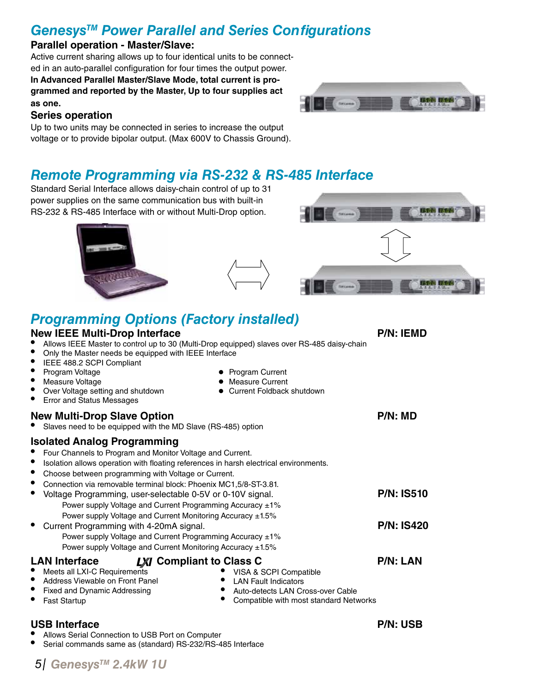## *GenesysTM Power Parallel and Series Configurations*

#### **Parallel operation - Master/Slave:**

Active current sharing allows up to four identical units to be connected in an auto-parallel configuration for four times the output power. **In Advanced Parallel Master/Slave Mode, total current is programmed and reported by the Master, Up to four supplies act as one.**



#### **Series operation**

Up to two units may be connected in series to increase the output voltage or to provide bipolar output. (Max 600V to Chassis Ground).

#### *Remote Programming via RS-232 & RS-485 Interface*

Standard Serial Interface allows daisy-chain control of up to 31 power supplies on the same communication bus with built-in RS-232 & RS-485 Interface with or without Multi-Drop option.





## *Programming Options (Factory installed)*

#### **New IEEE Multi-Drop Interface P/N: IEMD** Allows IEEE Master to control up to 30 (Multi-Drop equipped) slaves over RS-485 daisy-chain Only the Master needs be equipped with IEEE Interface IEEE 488.2 SCPI Compliant • Program Voltage • Program Current • Measure Current<br>• Current Foldback shutdown Over Voltage setting and shutdown **Error and Status Messages New Multi-Drop Slave Option Property All Accords According Property Research P/N: MD** Slaves need to be equipped with the MD Slave (RS-485) option LAN Interface **LXI** Compliant to Class C **P/N: LAN** Meets all LXI-C Requirements Address Viewable on Front Panel Fixed and Dynamic Addressing **Fast Startup** • VISA & SCPI Compatible • LAN Fault Indicators<br>• Auto-detects LAN Cr • Auto-detects LAN Cross-over Cable<br>• Compatible with most standard Netv Compatible with most standard Networks **Isolated Analog Programming** Four Channels to Program and Monitor Voltage and Current. Isolation allows operation with floating references in harsh electrical environments. Choose between programming with Voltage or Current. Connection via removable terminal block: Phoenix MC1,5/8-ST-3.81. Voltage Programming, user-selectable 0-5V or 0-10V signal. Power supply Voltage and Current Programming Accuracy ±1% Power supply Voltage and Current Monitoring Accuracy ±1.5% • Current Programming with 4-20mA signal. Power supply Voltage and Current Programming Accuracy ±1% Power supply Voltage and Current Monitoring Accuracy ±1.5% **P/N: IS510 P/N: IS420**

#### USB Interface **P/N: USB**

- Allows Serial Connection to USB Port on Computer
- Serial commands same as (standard) RS-232/RS-485 Interface

*GenesysTM 2.4kW 1U 5*